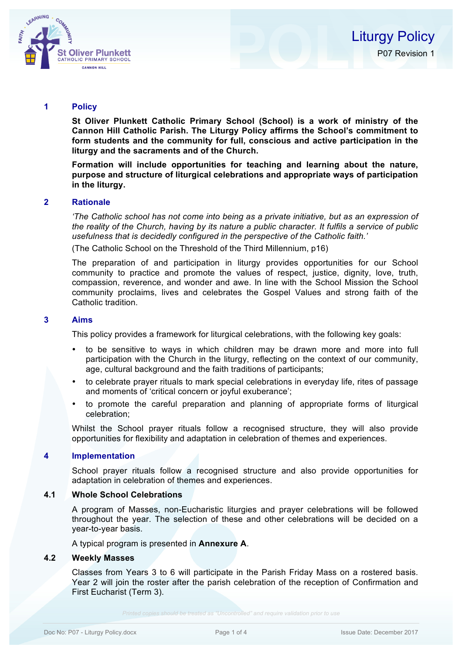

#### **1 Policy**

**St Oliver Plunkett Catholic Primary School (School) is a work of ministry of the Cannon Hill Catholic Parish. The Liturgy Policy affirms the School's commitment to form students and the community for full, conscious and active participation in the liturgy and the sacraments and of the Church.** 

**Formation will include opportunities for teaching and learning about the nature, purpose and structure of liturgical celebrations and appropriate ways of participation in the liturgy.**

# **2 Rationale**

*'The Catholic school has not come into being as a private initiative, but as an expression of the reality of the Church, having by its nature a public character. It fulfils a service of public usefulness that is decidedly configured in the perspective of the Catholic faith.'*

(The Catholic School on the Threshold of the Third Millennium, p16)

The preparation of and participation in liturgy provides opportunities for our School community to practice and promote the values of respect, justice, dignity, love, truth, compassion, reverence, and wonder and awe. In line with the School Mission the School community proclaims, lives and celebrates the Gospel Values and strong faith of the Catholic tradition.

# **3 Aims**

This policy provides a framework for liturgical celebrations, with the following key goals:

- to be sensitive to ways in which children may be drawn more and more into full participation with the Church in the liturgy, reflecting on the context of our community, age, cultural background and the faith traditions of participants;
- to celebrate prayer rituals to mark special celebrations in everyday life, rites of passage and moments of 'critical concern or joyful exuberance';
- to promote the careful preparation and planning of appropriate forms of liturgical celebration;

Whilst the School prayer rituals follow a recognised structure, they will also provide opportunities for flexibility and adaptation in celebration of themes and experiences.

#### **4 Implementation**

School prayer rituals follow a recognised structure and also provide opportunities for adaptation in celebration of themes and experiences.

#### **4.1 Whole School Celebrations**

A program of Masses, non-Eucharistic liturgies and prayer celebrations will be followed throughout the year. The selection of these and other celebrations will be decided on a year-to-year basis.

A typical program is presented in **Annexure A**.

#### **4.2 Weekly Masses**

Classes from Years 3 to 6 will participate in the Parish Friday Mass on a rostered basis. Year 2 will join the roster after the parish celebration of the reception of Confirmation and First Eucharist (Term 3).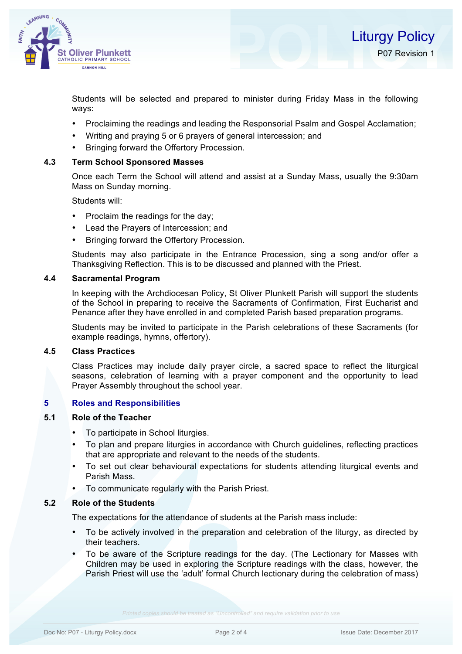

Students will be selected and prepared to minister during Friday Mass in the following ways:

- Proclaiming the readings and leading the Responsorial Psalm and Gospel Acclamation;
- Writing and praying 5 or 6 prayers of general intercession; and
- Bringing forward the Offertory Procession.

# **4.3 Term School Sponsored Masses**

Once each Term the School will attend and assist at a Sunday Mass, usually the 9:30am Mass on Sunday morning.

Students will:

- Proclaim the readings for the day;
- Lead the Prayers of Intercession; and
- Bringing forward the Offertory Procession.

Students may also participate in the Entrance Procession, sing a song and/or offer a Thanksgiving Reflection. This is to be discussed and planned with the Priest.

## **4.4 Sacramental Program**

In keeping with the Archdiocesan Policy, St Oliver Plunkett Parish will support the students of the School in preparing to receive the Sacraments of Confirmation, First Eucharist and Penance after they have enrolled in and completed Parish based preparation programs.

Students may be invited to participate in the Parish celebrations of these Sacraments (for example readings, hymns, offertory).

### **4.5 Class Practices**

Class Practices may include daily prayer circle, a sacred space to reflect the liturgical seasons, celebration of learning with a prayer component and the opportunity to lead Prayer Assembly throughout the school year.

#### **5 Roles and Responsibilities**

#### **5.1 Role of the Teacher**

- To participate in School liturgies.
- To plan and prepare liturgies in accordance with Church guidelines, reflecting practices that are appropriate and relevant to the needs of the students.
- To set out clear behavioural expectations for students attending liturgical events and Parish Mass.
- To communicate regularly with the Parish Priest.

#### **5.2 Role of the Students**

The expectations for the attendance of students at the Parish mass include:

- To be actively involved in the preparation and celebration of the liturgy, as directed by their teachers.
- To be aware of the Scripture readings for the day. (The Lectionary for Masses with Children may be used in exploring the Scripture readings with the class, however, the Parish Priest will use the 'adult' formal Church lectionary during the celebration of mass)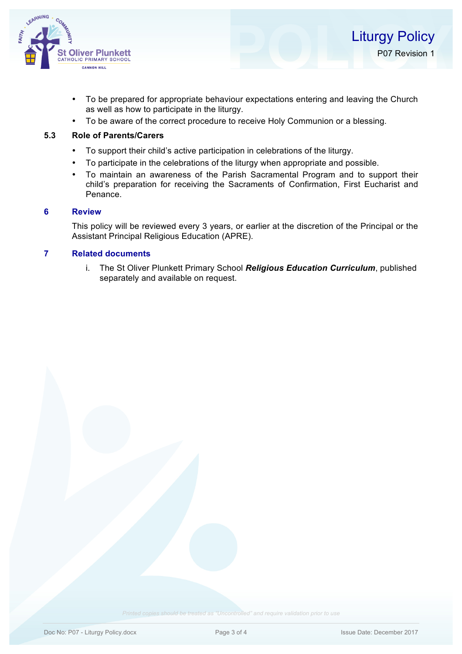

- To be prepared for appropriate behaviour expectations entering and leaving the Church as well as how to participate in the liturgy.
- To be aware of the correct procedure to receive Holy Communion or a blessing.

## **5.3 Role of Parents/Carers**

- To support their child's active participation in celebrations of the liturgy.
- To participate in the celebrations of the liturgy when appropriate and possible.
- To maintain an awareness of the Parish Sacramental Program and to support their child's preparation for receiving the Sacraments of Confirmation, First Eucharist and Penance.

#### **6 Review**

This policy will be reviewed every 3 years, or earlier at the discretion of the Principal or the Assistant Principal Religious Education (APRE).

# **7 Related documents**

i. The St Oliver Plunkett Primary School *Religious Education Curriculum*, published separately and available on request.